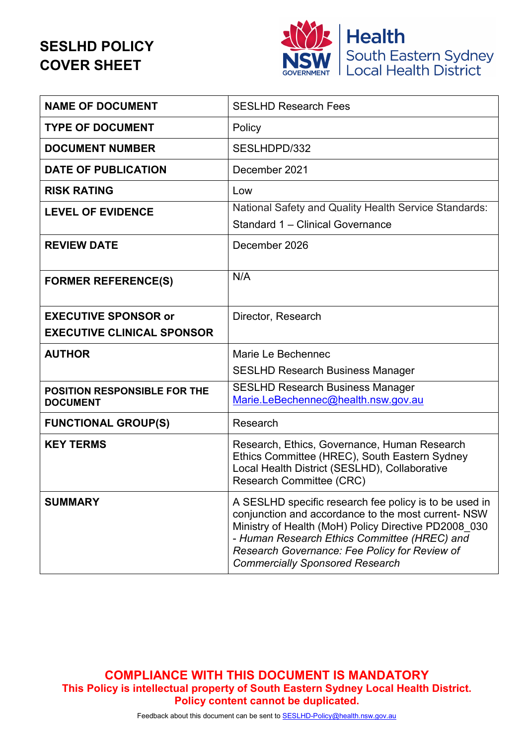# **SESLHD POLICY COVER SHEET**



| <b>NAME OF DOCUMENT</b>                                | <b>SESLHD Research Fees</b>                                                                                                                                                                                                                                                                                      |
|--------------------------------------------------------|------------------------------------------------------------------------------------------------------------------------------------------------------------------------------------------------------------------------------------------------------------------------------------------------------------------|
| <b>TYPE OF DOCUMENT</b>                                | Policy                                                                                                                                                                                                                                                                                                           |
| <b>DOCUMENT NUMBER</b>                                 | SESLHDPD/332                                                                                                                                                                                                                                                                                                     |
| <b>DATE OF PUBLICATION</b>                             | December 2021                                                                                                                                                                                                                                                                                                    |
| <b>RISK RATING</b>                                     | Low                                                                                                                                                                                                                                                                                                              |
| <b>LEVEL OF EVIDENCE</b>                               | National Safety and Quality Health Service Standards:<br>Standard 1 - Clinical Governance                                                                                                                                                                                                                        |
| <b>REVIEW DATE</b>                                     | December 2026                                                                                                                                                                                                                                                                                                    |
| <b>FORMER REFERENCE(S)</b>                             | N/A                                                                                                                                                                                                                                                                                                              |
| <b>EXECUTIVE SPONSOR or</b>                            | Director, Research                                                                                                                                                                                                                                                                                               |
| <b>EXECUTIVE CLINICAL SPONSOR</b>                      |                                                                                                                                                                                                                                                                                                                  |
| <b>AUTHOR</b>                                          | Marie Le Bechennec                                                                                                                                                                                                                                                                                               |
|                                                        | <b>SESLHD Research Business Manager</b>                                                                                                                                                                                                                                                                          |
| <b>POSITION RESPONSIBLE FOR THE</b><br><b>DOCUMENT</b> | <b>SESLHD Research Business Manager</b><br>Marie.LeBechennec@health.nsw.gov.au                                                                                                                                                                                                                                   |
| <b>FUNCTIONAL GROUP(S)</b>                             | Research                                                                                                                                                                                                                                                                                                         |
| <b>KEY TERMS</b>                                       | Research, Ethics, Governance, Human Research<br>Ethics Committee (HREC), South Eastern Sydney<br>Local Health District (SESLHD), Collaborative<br>Research Committee (CRC)                                                                                                                                       |
| <b>SUMMARY</b>                                         | A SESLHD specific research fee policy is to be used in<br>conjunction and accordance to the most current- NSW<br>Ministry of Health (MoH) Policy Directive PD2008_030<br>- Human Research Ethics Committee (HREC) and<br>Research Governance: Fee Policy for Review of<br><b>Commercially Sponsored Research</b> |

**COMPLIANCE WITH THIS DOCUMENT IS MANDATORY This Policy is intellectual property of South Eastern Sydney Local Health District. Policy content cannot be duplicated.**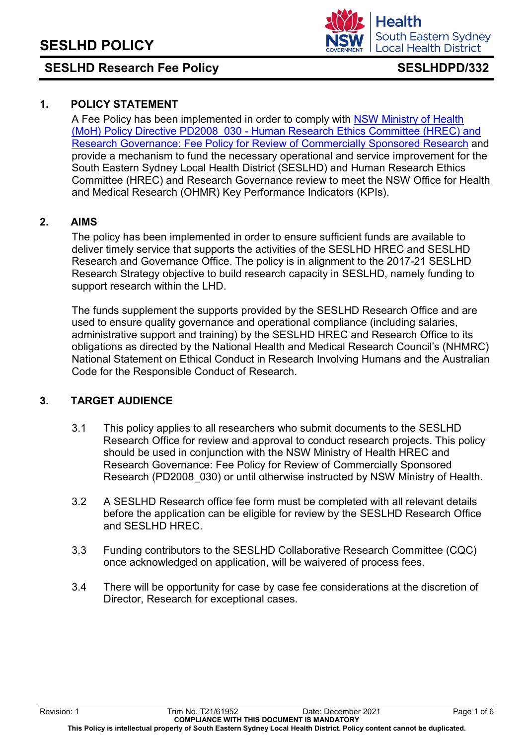

### **1. POLICY STATEMENT**

A Fee Policy has been implemented in order to comply with [NSW Ministry of Health](https://www1.health.nsw.gov.au/pds/Pages/doc.aspx?dn=PD2008_030)  (MoH) Policy Directive PD2008\_030 - [Human Research Ethics Committee \(HREC\) and](https://www1.health.nsw.gov.au/pds/Pages/doc.aspx?dn=PD2008_030)  [Research Governance: Fee Policy for Review of Commercially Sponsored Research](https://www1.health.nsw.gov.au/pds/Pages/doc.aspx?dn=PD2008_030) and provide a mechanism to fund the necessary operational and service improvement for the South Eastern Sydney Local Health District (SESLHD) and Human Research Ethics Committee (HREC) and Research Governance review to meet the NSW Office for Health and Medical Research (OHMR) Key Performance Indicators (KPIs).

#### **2. AIMS**

The policy has been implemented in order to ensure sufficient funds are available to deliver timely service that supports the activities of the SESLHD HREC and SESLHD Research and Governance Office. The policy is in alignment to the 2017-21 SESLHD Research Strategy objective to build research capacity in SESLHD, namely funding to support research within the LHD.

The funds supplement the supports provided by the SESLHD Research Office and are used to ensure quality governance and operational compliance (including salaries, administrative support and training) by the SESLHD HREC and Research Office to its obligations as directed by the National Health and Medical Research Council's (NHMRC) National Statement on Ethical Conduct in Research Involving Humans and the Australian Code for the Responsible Conduct of Research.

### **3. TARGET AUDIENCE**

- 3.1 This policy applies to all researchers who submit documents to the SESLHD Research Office for review and approval to conduct research projects. This policy should be used in conjunction with the NSW Ministry of Health HREC and Research Governance: Fee Policy for Review of Commercially Sponsored Research (PD2008\_030) or until otherwise instructed by NSW Ministry of Health.
- 3.2 A SESLHD Research office fee form must be completed with all relevant details before the application can be eligible for review by the SESLHD Research Office and SESLHD HREC.
- 3.3 Funding contributors to the SESLHD Collaborative Research Committee (CQC) once acknowledged on application, will be waivered of process fees.
- 3.4 There will be opportunity for case by case fee considerations at the discretion of Director, Research for exceptional cases.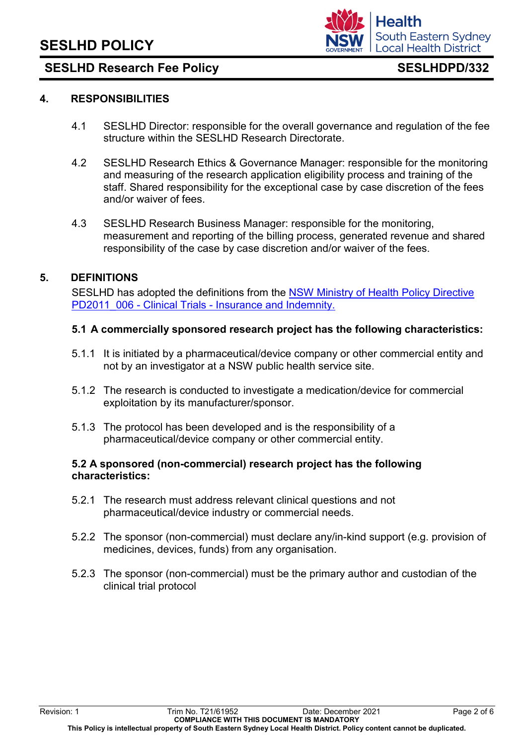

### **4. RESPONSIBILITIES**

- 4.1 SESLHD Director: responsible for the overall governance and regulation of the fee structure within the SESLHD Research Directorate.
- 4.2 SESLHD Research Ethics & Governance Manager: responsible for the monitoring and measuring of the research application eligibility process and training of the staff. Shared responsibility for the exceptional case by case discretion of the fees and/or waiver of fees.
- 4.3 SESLHD Research Business Manager: responsible for the monitoring, measurement and reporting of the billing process, generated revenue and shared responsibility of the case by case discretion and/or waiver of the fees.

### **5. DEFINITIONS**

SESLHD has adopted the definitions from the [NSW Ministry of Health Policy Directive](https://www1.health.nsw.gov.au/pds/Pages/doc.aspx?dn=PD2011_006)  PD2011\_006 - Clinical Trials - [Insurance and Indemnity.](https://www1.health.nsw.gov.au/pds/Pages/doc.aspx?dn=PD2011_006)

#### **5.1 A commercially sponsored research project has the following characteristics:**

- 5.1.1 It is initiated by a pharmaceutical/device company or other commercial entity and not by an investigator at a NSW public health service site.
- 5.1.2 The research is conducted to investigate a medication/device for commercial exploitation by its manufacturer/sponsor.
- 5.1.3 The protocol has been developed and is the responsibility of a pharmaceutical/device company or other commercial entity.

#### **5.2 A sponsored (non-commercial) research project has the following characteristics:**

- 5.2.1 The research must address relevant clinical questions and not pharmaceutical/device industry or commercial needs.
- 5.2.2 The sponsor (non-commercial) must declare any/in-kind support (e.g. provision of medicines, devices, funds) from any organisation.
- 5.2.3 The sponsor (non-commercial) must be the primary author and custodian of the clinical trial protocol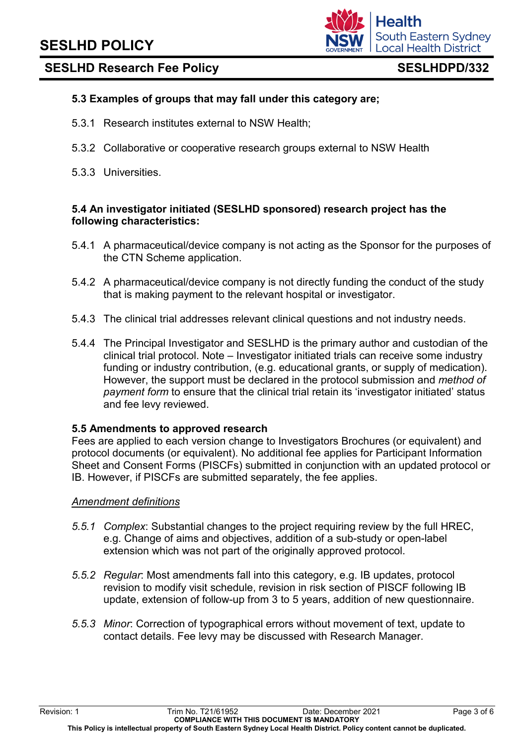

### **5.3 Examples of groups that may fall under this category are;**

- 5.3.1 Research institutes external to NSW Health;
- 5.3.2 Collaborative or cooperative research groups external to NSW Health
- 5.3.3 Universities.

### **5.4 An investigator initiated (SESLHD sponsored) research project has the following characteristics:**

- 5.4.1 A pharmaceutical/device company is not acting as the Sponsor for the purposes of the CTN Scheme application.
- 5.4.2 A pharmaceutical/device company is not directly funding the conduct of the study that is making payment to the relevant hospital or investigator.
- 5.4.3 The clinical trial addresses relevant clinical questions and not industry needs.
- 5.4.4 The Principal Investigator and SESLHD is the primary author and custodian of the clinical trial protocol. Note – Investigator initiated trials can receive some industry funding or industry contribution, (e.g. educational grants, or supply of medication). However, the support must be declared in the protocol submission and *method of payment form* to ensure that the clinical trial retain its 'investigator initiated' status and fee levy reviewed.

#### **5.5 Amendments to approved research**

Fees are applied to each version change to Investigators Brochures (or equivalent) and protocol documents (or equivalent). No additional fee applies for Participant Information Sheet and Consent Forms (PISCFs) submitted in conjunction with an updated protocol or IB. However, if PISCFs are submitted separately, the fee applies.

#### *Amendment definitions*

- *5.5.1 Complex*: Substantial changes to the project requiring review by the full HREC, e.g. Change of aims and objectives, addition of a sub-study or open-label extension which was not part of the originally approved protocol.
- *5.5.2 Regular*: Most amendments fall into this category, e.g. IB updates, protocol revision to modify visit schedule, revision in risk section of PISCF following IB update, extension of follow-up from 3 to 5 years, addition of new questionnaire.
- *5.5.3 Minor*: Correction of typographical errors without movement of text, update to contact details. Fee levy may be discussed with Research Manager.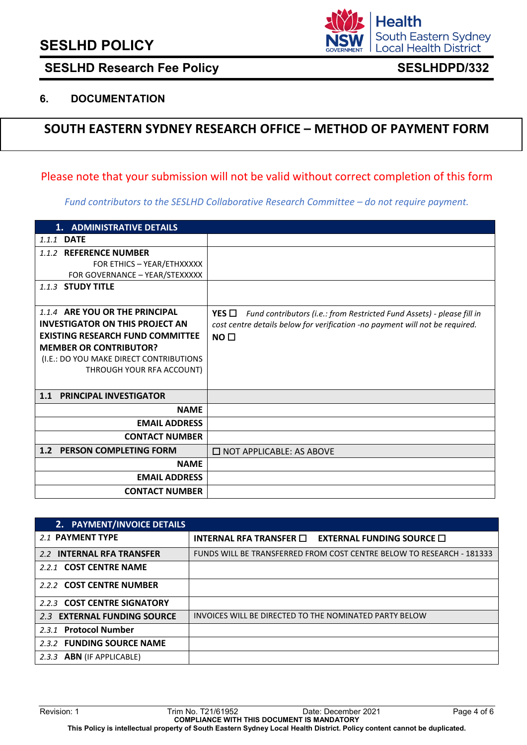# **SESLHD POLICY**



## SESLHD Research Fee Policy **SESLHDPD/332**

### **6. DOCUMENTATION**

## **SOUTH EASTERN SYDNEY RESEARCH OFFICE – METHOD OF PAYMENT FORM**

### Please note that your submission will not be valid without correct completion of this form

*Fund contributors to the SESLHD Collaborative Research Committee – do not require payment.*

| 1. ADMINISTRATIVE DETAILS                         |                                                                               |
|---------------------------------------------------|-------------------------------------------------------------------------------|
| 1.1.1 <b>DATE</b>                                 |                                                                               |
| <b>REFERENCE NUMBER</b><br>1.1.2                  |                                                                               |
| FOR ETHICS - YEAR/ETHXXXXX                        |                                                                               |
| FOR GOVERNANCE - YEAR/STEXXXXX                    |                                                                               |
| 1.1.3 STUDY TITLE                                 |                                                                               |
|                                                   |                                                                               |
| 1.1.4 ARE YOU OR THE PRINCIPAL                    | YES<br>Fund contributors (i.e.: from Restricted Fund Assets) - please fill in |
| <b>INVESTIGATOR ON THIS PROJECT AN</b>            | cost centre details below for verification -no payment will not be required.  |
| <b>EXISTING RESEARCH FUND COMMITTEE</b>           | NO <sub>1</sub>                                                               |
| <b>MEMBER OR CONTRIBUTOR?</b>                     |                                                                               |
| (I.E.: DO YOU MAKE DIRECT CONTRIBUTIONS           |                                                                               |
| THROUGH YOUR RFA ACCOUNT)                         |                                                                               |
|                                                   |                                                                               |
| <b>PRINCIPAL INVESTIGATOR</b><br>1.1              |                                                                               |
| <b>NAME</b>                                       |                                                                               |
| <b>EMAIL ADDRESS</b>                              |                                                                               |
| <b>CONTACT NUMBER</b>                             |                                                                               |
| <b>PERSON COMPLETING FORM</b><br>1.2 <sub>2</sub> | $\Box$ NOT APPLICABLE: AS ABOVE                                               |
| <b>NAME</b>                                       |                                                                               |
| <b>EMAIL ADDRESS</b>                              |                                                                               |
| <b>CONTACT NUMBER</b>                             |                                                                               |

| 2. PAYMENT/INVOICE DETAILS  |                                                                                  |
|-----------------------------|----------------------------------------------------------------------------------|
| 2.1 PAYMENT TYPE            | INTERNAL RFA TRANSFER $\Box$<br><b>EXTERNAL FUNDING SOURCE <math>\Box</math></b> |
| 2.2 INTERNAL RFA TRANSFER   | FUNDS WILL BE TRANSFERRED FROM COST CENTRE BELOW TO RESEARCH - 181333            |
| 2.2.1 COST CENTRE NAME      |                                                                                  |
| 2.2.2 COST CENTRE NUMBER    |                                                                                  |
| 2.2.3 COST CENTRE SIGNATORY |                                                                                  |
| 2.3 EXTERNAL FUNDING SOURCE | INVOICES WILL BE DIRECTED TO THE NOMINATED PARTY BELOW                           |
| 2.3.1 Protocol Number       |                                                                                  |
| 2.3.2 FUNDING SOURCE NAME   |                                                                                  |
| 2.3.3 ABN (IF APPLICABLE)   |                                                                                  |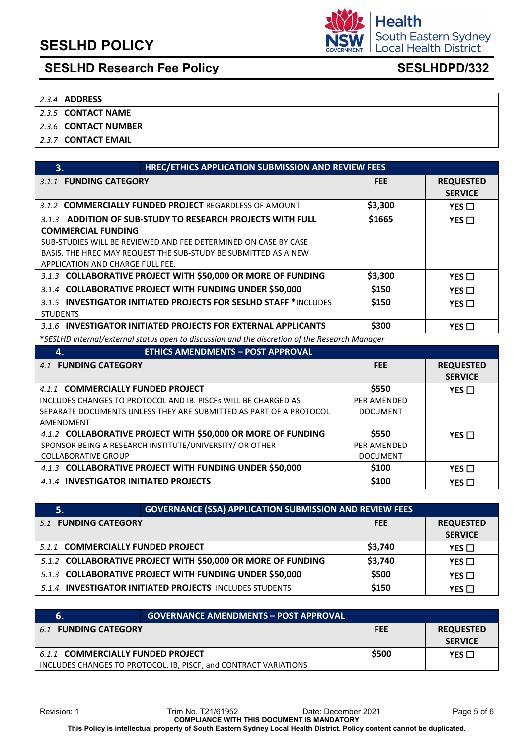# **SESLHD POLICY**



# SESLHD Research Fee Policy<br>
SESLHDPD/332

| 2.3.4 ADDRESS        |  |
|----------------------|--|
| 2.3.5 CONTACT NAME   |  |
| 2.3.6 CONTACT NUMBER |  |
| 2.3.7 CONTACT EMAIL  |  |

| HREC/ETHICS APPLICATION SUBMISSION AND REVIEW FEES<br>3.                |            |                  |
|-------------------------------------------------------------------------|------------|------------------|
| <b>FUNDING CATEGORY</b><br>3.1.1                                        | <b>FEE</b> | <b>REQUESTED</b> |
|                                                                         |            | <b>SERVICE</b>   |
| 3.1.2 <b>COMMERCIALLY FUNDED PROJECT</b> REGARDLESS OF AMOUNT           | \$3,300    | YES $\Box$       |
| ADDITION OF SUB-STUDY TO RESEARCH PROJECTS WITH FULL<br>3.1.3           | \$1665     | YES $\Box$       |
| <b>COMMERCIAL FUNDING</b>                                               |            |                  |
| SUB-STUDIES WILL BE REVIEWED AND FEE DETERMINED ON CASE BY CASE         |            |                  |
| BASIS. THE HREC MAY REQUEST THE SUB-STUDY BE SUBMITTED AS A NEW         |            |                  |
| APPLICATION AND CHARGE FULL FEE.                                        |            |                  |
| 3.1.3 COLLABORATIVE PROJECT WITH \$50,000 OR MORE OF FUNDING            | \$3,300    | YES $\square$    |
| 3.1.4 COLLABORATIVE PROJECT WITH FUNDING UNDER \$50,000                 | \$150      | YES $\Box$       |
| 3.1.5 <b>INVESTIGATOR INITIATED PROJECTS FOR SESLHD STAFF</b> *INCLUDES | \$150      | YES $\Box$       |
| <b>STUDENTS</b>                                                         |            |                  |
| 3.1.6 INVESTIGATOR INITIATED PROJECTS FOR EXTERNAL APPLICANTS           | \$300      | YES $\Box$       |

**\****SESLHD internal/external status open to discussion and the discretion of the Research Manager*

| 4.                                                                 | <b>ETHICS AMENDMENTS - POST APPROVAL</b> |                    |                  |
|--------------------------------------------------------------------|------------------------------------------|--------------------|------------------|
| 4.1 FUNDING CATEGORY                                               |                                          | <b>FEE</b>         | <b>REQUESTED</b> |
|                                                                    |                                          |                    | <b>SERVICE</b>   |
| 4.1.1 COMMERCIALLY FUNDED PROJECT                                  |                                          | \$550              | YES $\Box$       |
| INCLUDES CHANGES TO PROTOCOL AND IB. PISCES WILL BE CHARGED AS     |                                          | PER AMENDED        |                  |
| SEPARATE DOCUMENTS UNLESS THEY ARE SUBMITTED AS PART OF A PROTOCOL |                                          | <b>DOCUMENT</b>    |                  |
| AMENDMENT                                                          |                                          |                    |                  |
| 4.1.2 COLLABORATIVE PROJECT WITH \$50,000 OR MORE OF FUNDING       |                                          | \$550              | YES $\Box$       |
| SPONSOR BEING A RESEARCH INSTITUTE/UNIVERSITY/ OR OTHER            |                                          | <b>PER AMENDED</b> |                  |
| <b>COLLABORATIVE GROUP</b>                                         |                                          | <b>DOCUMENT</b>    |                  |
| 4.1.3 COLLABORATIVE PROJECT WITH FUNDING UNDER \$50,000            |                                          | \$100              | YES $\Box$       |
| 4.1.4 INVESTIGATOR INITIATED PROJECTS                              |                                          | \$100              | YES $\Box$       |

|                                                              | <b>GOVERNANCE (SSA) APPLICATION SUBMISSION AND REVIEW FEES</b> |            |                  |
|--------------------------------------------------------------|----------------------------------------------------------------|------------|------------------|
| 5.1 FUNDING CATEGORY                                         |                                                                | <b>FEE</b> | <b>REQUESTED</b> |
|                                                              |                                                                |            | <b>SERVICE</b>   |
| 5.1.1 COMMERCIALLY FUNDED PROJECT                            |                                                                | \$3,740    | $YES$ $\Box$     |
| 5.1.2 COLLABORATIVE PROJECT WITH \$50,000 OR MORE OF FUNDING |                                                                | \$3,740    | YES $\Box$       |
| 5.1.3 COLLABORATIVE PROJECT WITH FUNDING UNDER \$50,000      |                                                                | \$500      | YES $\Box$       |
|                                                              | 5.1.4 INVESTIGATOR INITIATED PROJECTS INCLUDES STUDENTS        |            | $YES \Box$       |

|                                                                                                       | <b>GOVERNANCE AMENDMENTS - POST APPROVAL</b> |            |                                    |
|-------------------------------------------------------------------------------------------------------|----------------------------------------------|------------|------------------------------------|
| <b>FUNDING CATEGORY</b><br>6.1                                                                        |                                              | <b>FEE</b> | <b>REQUESTED</b><br><b>SERVICE</b> |
| 6.1.1 COMMERCIALLY FUNDED PROJECT<br>INCLUDES CHANGES TO PROTOCOL, IB, PISCF, and CONTRACT VARIATIONS |                                              | \$500      | YES $\Box$                         |